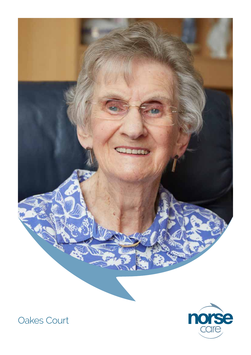



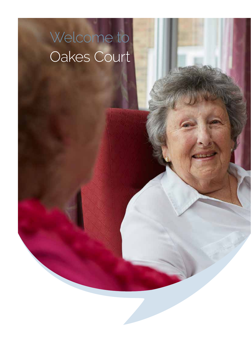# Welcome to Oakes Court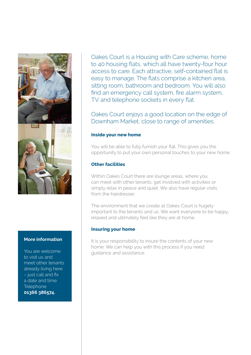

#### **More information**

You are welcome to visit us and meet other tenants already living here – just call and fix a date and time. **Telephone 01366 386574.**

Oakes Court is a Housing with Care scheme, home to 40 housing flats, which all have twenty-four hour access to care. Each attractive, self-contained flat is easy to manage. The flats comprise a kitchen area, sitting room, bathroom and bedroom. You will also find an emergency call system, fire alarm system, TV and telephone sockets in every flat.

Oakes Court enjoys a good location on the edge of Downham Market, close to range of amenities.

#### **Inside your new home**

You will be able to fully furnish your flat. This gives you the opportunity to put your own personal touches to your new home.

## **Other facilities**

Within Oakes Court there are lounge areas, where you can meet with other tenants, get involved with activities or simply relax in peace and quiet. We also have regular visits from the hairdresser.

The environment that we create at Oakes Court is hugely important to the tenants and us. We want everyone to be happy, relaxed and ultimately feel like they are at home.

#### **Insuring your home**

It is your responsibility to insure the contents of your new home. We can help you with this process if you need guidance and assistance.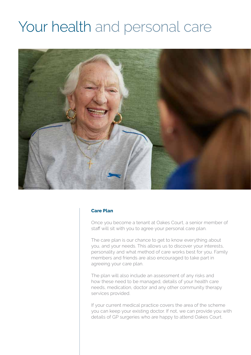# Your health and personal care



#### **Care Plan**

Once you become a tenant at Oakes Court, a senior member of staff will sit with you to agree your personal care plan.

The care plan is our chance to get to know everything about you, and your needs. This allows us to discover your interests, personality and what method of care works best for you. Family members and friends are also encouraged to take part in agreeing your care plan.

The plan will also include an assessment of any risks and how these need to be managed, details of your health care needs, medication, doctor and any other community therapy services provided.

If your current medical practice covers the area of the scheme you can keep your existing doctor. If not, we can provide you with details of GP surgeries who are happy to attend Oakes Court.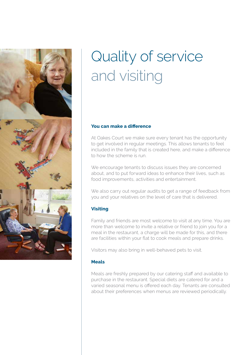

# Quality of service and visiting

#### **You can make a difference**

At Oakes Court we make sure every tenant has the opportunity to get involved in regular meetings. This allows tenants to feel included in the family that is created here, and make a difference to how the scheme is run.

We encourage tenants to discuss issues they are concerned about, and to put forward ideas to enhance their lives, such as food improvements, activities and entertainment.

We also carry out regular audits to get a range of feedback from you and your relatives on the level of care that is delivered.

#### **Visiting**

Family and friends are most welcome to visit at any time. You are more than welcome to invite a relative or friend to join you for a meal in the restaurant, a charge will be made for this, and there are facilities within your flat to cook meals and prepare drinks.

Visitors may also bring in well-behaved pets to visit.

#### **Meals**

Meals are freshly prepared by our catering staff and available to purchase in the restaurant. Special diets are catered for and a varied seasonal menu is offered each day. Tenants are consulted about their preferences when menus are reviewed periodically.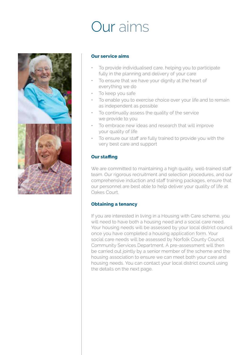# Our aims



#### **Our service aims**

- To provide individualised care, helping you to participate fully in the planning and delivery of your care
- To ensure that we have your dignity at the heart of everything we do
- To keep you safe
- To enable you to exercise choice over your life and to remain as independent as possible
- To continually assess the quality of the service we provide to you
- To embrace new ideas and research that will improve your quality of life
- To ensure our staff are fully trained to provide you with the very best care and support

## **Our staffing**

We are committed to maintaining a high quality, well-trained staff team. Our rigorous recruitment and selection procedures, and our comprehensive induction and staff training packages, ensure that our personnel are best able to help deliver your quality of life at Oakes Court.

### **Obtaining a tenancy**

If you are interested in living in a Housing with Care scheme, you will need to have both a housing need and a social care need. Your housing needs will be assessed by your local district council once you have completed a housing application form. Your social care needs will be assessed by Norfolk County Council Community Services Department. A pre-assessment will then be carried out jointly by a senior member of the scheme and the housing association to ensure we can meet both your care and housing needs. You can contact your local district council using the details on the next page.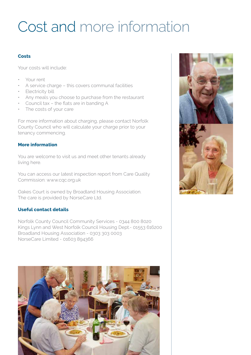# Cost and more information

### **Costs**

Your costs will include:

- Your rent
- A service charge this covers communal facilities
- Electricity bill
- Any meals you choose to purchase from the restaurant
- Council tax the flats are in banding A
- The costs of your care

For more information about charging, please contact Norfolk County Council who will calculate your charge prior to your tenancy commencing.

## **More information**

You are welcome to visit us and meet other tenants already living here.

You can access our latest inspection report from Care Quality Commission: www.cqc.org.uk

Oakes Court is owned by Broadland Housing Association. The care is provided by NorseCare Ltd.

# **Useful contact details**

Norfolk County Council Community Services - 0344 800 8020 Kings Lynn and West Norfolk Council Housing Dept.- 01553 616200 Broadland Housing Association - 0303 303 0003 NorseCare Limited - 01603 894366